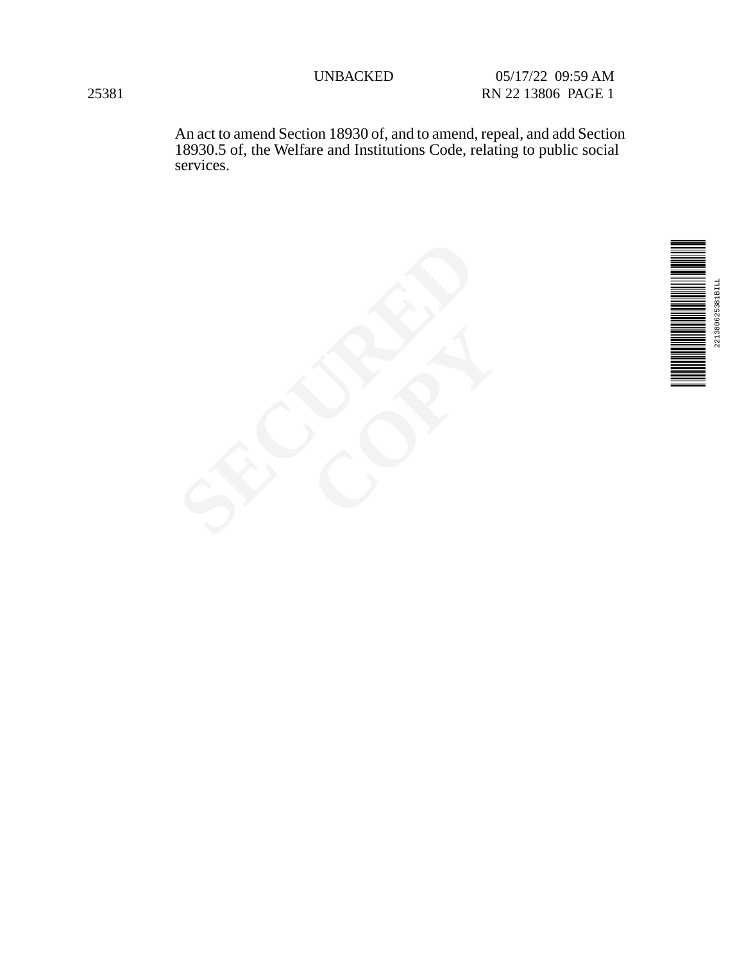An act to amend Section 18930 of, and to amend, repeal, and add Section 18930.5 of, the Welfare and Institutions Code, relating to public social services.



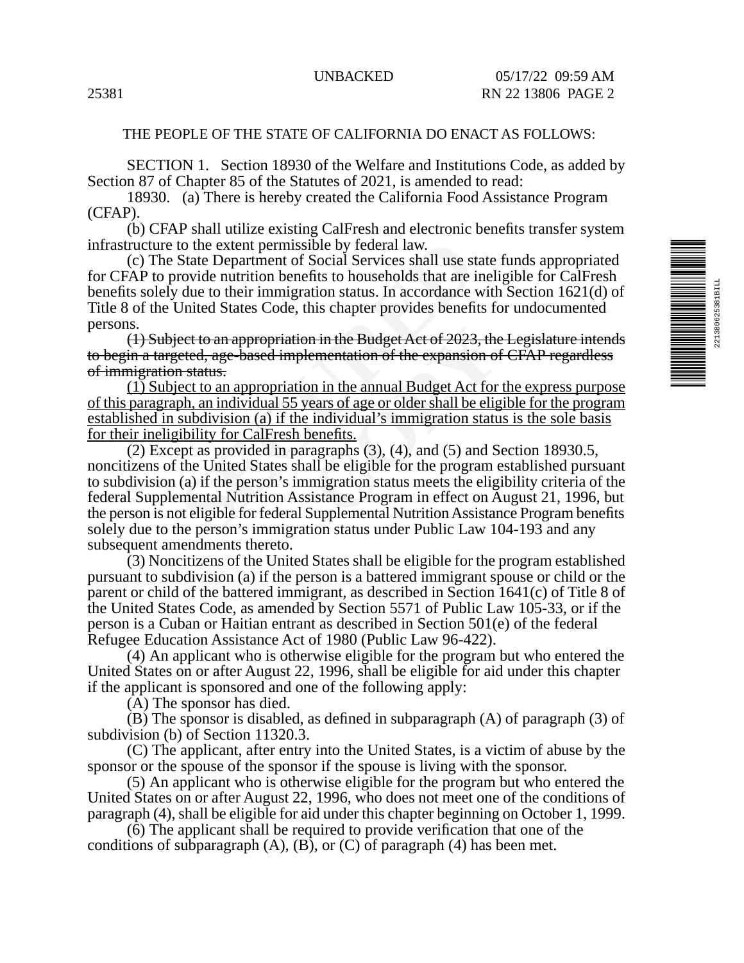# THE PEOPLE OF THE STATE OF CALIFORNIA DO ENACT AS FOLLOWS:

SECTION 1. Section 18930 of the Welfare and Institutions Code, as added by Section 87 of Chapter 85 of the Statutes of 2021, is amended to read:

18930. (a) There is hereby created the California Food Assistance Program (CFAP).

(b) CFAP shall utilize existing CalFresh and electronic benefits transfer system infrastructure to the extent permissible by federal law.

(c) The State Department of Social Services shall use state funds appropriated for CFAP to provide nutrition benefits to households that are ineligible for CalFresh benefits solely due to their immigration status. In accordance with Section 1621(d) of Title 8 of the United States Code, this chapter provides benefits for undocumented persons.

(1) Subject to an appropriation in the Budget Act of 2023, the Legislature intends to begin a targeted, age-based implementation of the expansion of CFAP regardless of immigration status.

(1) Subject to an appropriation in the annual Budget Act for the express purpose of this paragraph, an individual 55 years of age or older shall be eligible for the program established in subdivision (a) if the individual's immigration status is the sole basis for their ineligibility for CalFresh benefits.

to the extent permissible by federal law.<br>State Department of Social Services shall use st<br>rovide nutrition benefits to households that are i<br>due to their immigration status. In accordance v<br>United States Code, this chapte In the Budget Act of 2023, the<br>
ementation of the expansion of<br>
on in the annual Budget Act for<br>
ears of age or older shall be elig<br>
individual's immigration statu<br>
benefits.<br>
cagraphs (3), (4), and (5) and S<br>
all be eligi (2) Except as provided in paragraphs (3), (4), and (5) and Section 18930.5, noncitizens of the United States shall be eligible for the program established pursuant to subdivision (a) if the person's immigration status meets the eligibility criteria of the federal Supplemental Nutrition Assistance Program in effect on August 21, 1996, but the person is not eligible for federal Supplemental Nutrition Assistance Program benefits solely due to the person's immigration status under Public Law 104-193 and any subsequent amendments thereto.

(3) Noncitizens of the United States shall be eligible for the program established pursuant to subdivision (a) if the person is a battered immigrant spouse or child or the parent or child of the battered immigrant, as described in Section 1641(c) of Title 8 of the United States Code, as amended by Section 5571 of Public Law 105-33, or if the person is a Cuban or Haitian entrant as described in Section 501(e) of the federal Refugee Education Assistance Act of 1980 (Public Law 96-422).

(4) An applicant who is otherwise eligible for the program but who entered the United States on or after August 22, 1996, shall be eligible for aid under this chapter if the applicant is sponsored and one of the following apply:

(A) The sponsor has died.

(B) The sponsor is disabled, as defined in subparagraph (A) of paragraph (3) of subdivision (b) of Section 11320.3.

(C) The applicant, after entry into the United States, is a victim of abuse by the sponsor or the spouse of the sponsor if the spouse is living with the sponsor.

(5) An applicant who is otherwise eligible for the program but who entered the United States on or after August 22, 1996, who does not meet one of the conditions of paragraph (4), shall be eligible for aid under this chapter beginning on October 1, 1999.

(6) The applicant shall be required to provide verification that one of the conditions of subparagraph  $(A)$ ,  $(B)$ , or  $(C)$  of paragraph  $(4)$  has been met.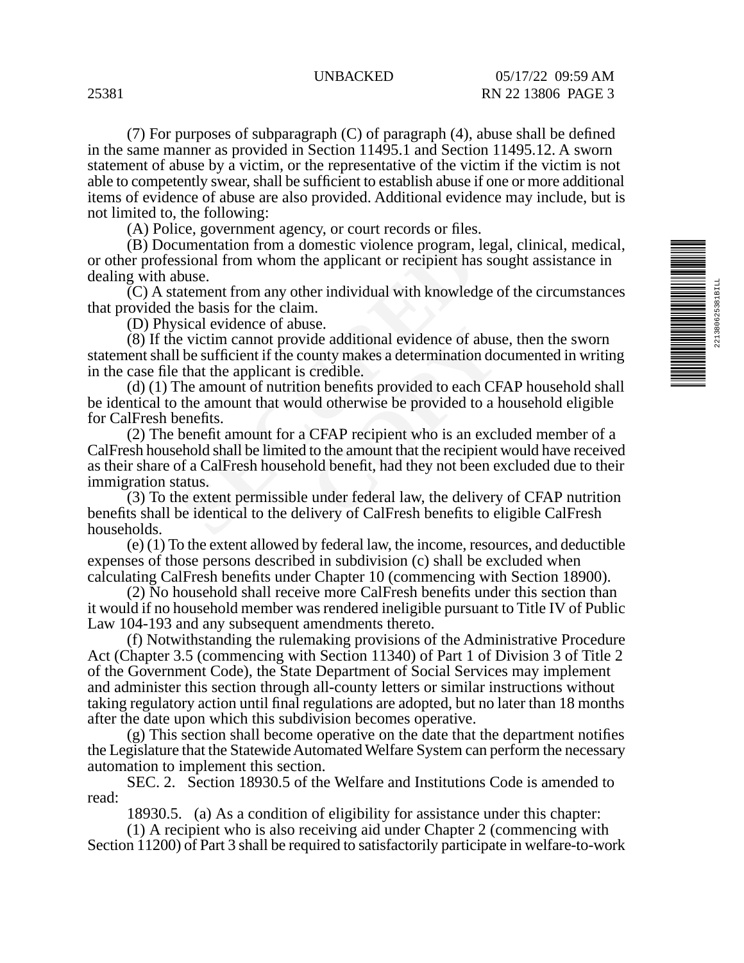(7) For purposes of subparagraph (C) of paragraph (4), abuse shall be defined in the same manner as provided in Section 11495.1 and Section 11495.12. A sworn statement of abuse by a victim, or the representative of the victim if the victim is not able to competently swear, shall be sufficient to establish abuse if one or more additional items of evidence of abuse are also provided. Additional evidence may include, but is not limited to, the following:

(A) Police, government agency, or court records or files.

(B) Documentation from a domestic violence program, legal, clinical, medical, or other professional from whom the applicant or recipient has sought assistance in dealing with abuse.

(C) A statement from any other individual with knowledge of the circumstances that provided the basis for the claim.

(D) Physical evidence of abuse.

(8) If the victim cannot provide additional evidence of abuse, then the sworn statement shall be sufficient if the county makes a determination documented in writing in the case file that the applicant is credible.

(d) (1) The amount of nutrition benefits provided to each CFAP household shall be identical to the amount that would otherwise be provided to a household eligible for CalFresh benefits.

informal domestic violence program,<br>sisional from whom the applicant or recipient has<br>buse.<br>atement from any other individual with knowled<br>the basis for the claim.<br>sical evidence of abuse.<br>e victim cannot provide additiona Sec.<br>
ide additional evidence of abus<br>
bunty makes a determination do<br>
credible.<br>
on benefits provided to each CF<br>
ld otherwise be provided to a l<br>
CFAP recipient who is an excl<br>
to the amount that the recipient<br>
old benef (2) The benefit amount for a CFAP recipient who is an excluded member of a CalFresh household shall be limited to the amount that the recipient would have received as their share of a CalFresh household benefit, had they not been excluded due to their immigration status.

(3) To the extent permissible under federal law, the delivery of CFAP nutrition benefits shall be identical to the delivery of CalFresh benefits to eligible CalFresh households.

(e) (1) To the extent allowed by federal law, the income, resources, and deductible expenses of those persons described in subdivision (c) shall be excluded when calculating CalFresh benefits under Chapter 10 (commencing with Section 18900).

(2) No household shall receive more CalFresh benefits under this section than it would if no household member was rendered ineligible pursuant to Title IV of Public Law 104-193 and any subsequent amendments thereto.

(f) Notwithstanding the rulemaking provisions of the Administrative Procedure Act (Chapter 3.5 (commencing with Section 11340) of Part 1 of Division 3 of Title 2 of the Government Code), the State Department of Social Services may implement and administer this section through all-county letters or similar instructions without taking regulatory action until final regulations are adopted, but no later than 18 months after the date upon which this subdivision becomes operative.

(g) This section shall become operative on the date that the department notifies the Legislature that the Statewide Automated Welfare System can perform the necessary automation to implement this section.

SEC. 2. Section 18930.5 of the Welfare and Institutions Code is amended to read:

18930.5. (a) As a condition of eligibility for assistance under this chapter:

(1) A recipient who is also receiving aid under Chapter 2 (commencing with Section 11200) of Part 3 shall be required to satisfactorily participate in welfare-to-work

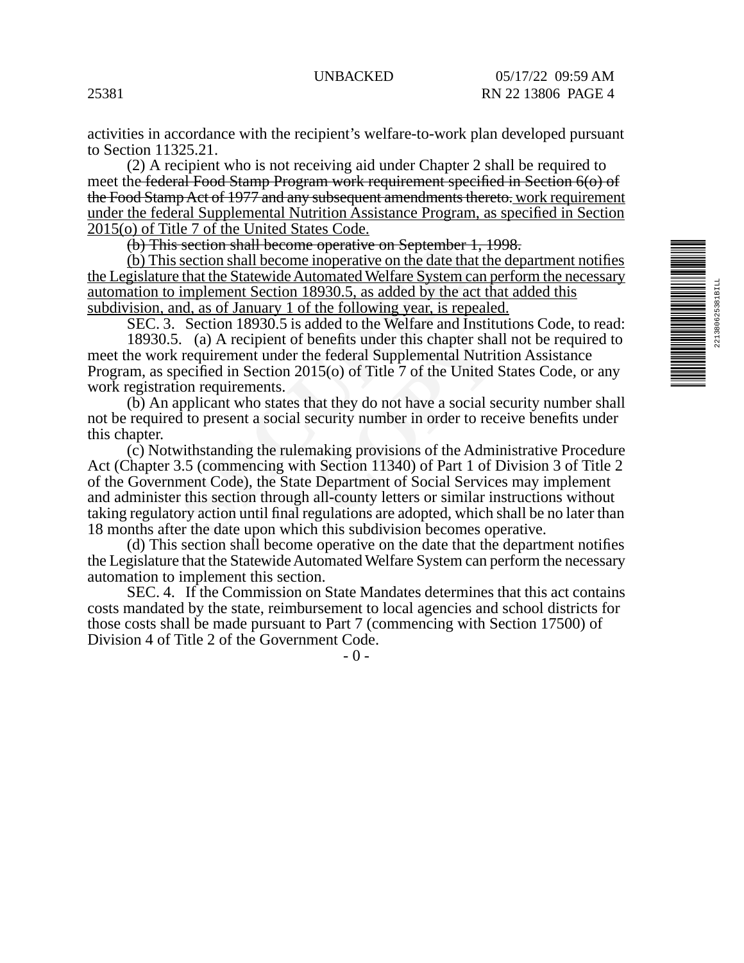activities in accordance with the recipient's welfare-to-work plan developed pursuant to Section 11325.21.

(2) A recipient who is not receiving aid under Chapter 2 shall be required to meet the federal Food Stamp Program work requirement specified in Section 6(o) of the Food Stamp Act of 1977 and any subsequent amendments thereto. work requirement under the federal Supplemental Nutrition Assistance Program, as specified in Section 2015(o) of Title 7 of the United States Code.

(b) This section shall become operative on September 1, 1998.

(b) This section shall become inoperative on the date that the department notifies the Legislature that the Statewide Automated Welfare System can perform the necessary automation to implement Section 18930.5, as added by the act that added this subdivision, and, as of January 1 of the following year, is repealed.

SEC. 3. Section 18930.5 is added to the Welfare and Institutions Code, to read:

18930.5. (a) A recipient of benefits under this chapter shall not be required to meet the work requirement under the federal Supplemental Nutrition Assistance Program, as specified in Section 2015(o) of Title 7 of the United States Code, or any work registration requirements.

(b) An applicant who states that they do not have a social security number shall not be required to present a social security number in order to receive benefits under this chapter.

section shall become operative on September 1<br>section shall become inoperative on the date that<br>that the Statewide Automated Welfare System ca<br>implement Section 18930.5, as added by the ac<br>nd, as of January 1 of the follow Readington the Werlate and Historical<br>benefits under this chapter shall<br>the federal Supplemental Nutrit<br>115(o) of Title 7 of the United S<br>hat they do not have a social se<br>security number in order to reconsiderating<br>making (c) Notwithstanding the rulemaking provisions of the Administrative Procedure Act (Chapter 3.5 (commencing with Section 11340) of Part 1 of Division 3 of Title 2 of the Government Code), the State Department of Social Services may implement and administer this section through all-county letters or similar instructions without taking regulatory action until final regulations are adopted, which shall be no later than 18 months after the date upon which this subdivision becomes operative.

(d) This section shall become operative on the date that the department notifies the Legislature that the Statewide Automated Welfare System can perform the necessary automation to implement this section.

SEC. 4. If the Commission on State Mandates determines that this act contains costs mandated by the state, reimbursement to local agencies and school districts for those costs shall be made pursuant to Part 7 (commencing with Section 17500) of Division 4 of Title 2 of the Government Code.

- 0 -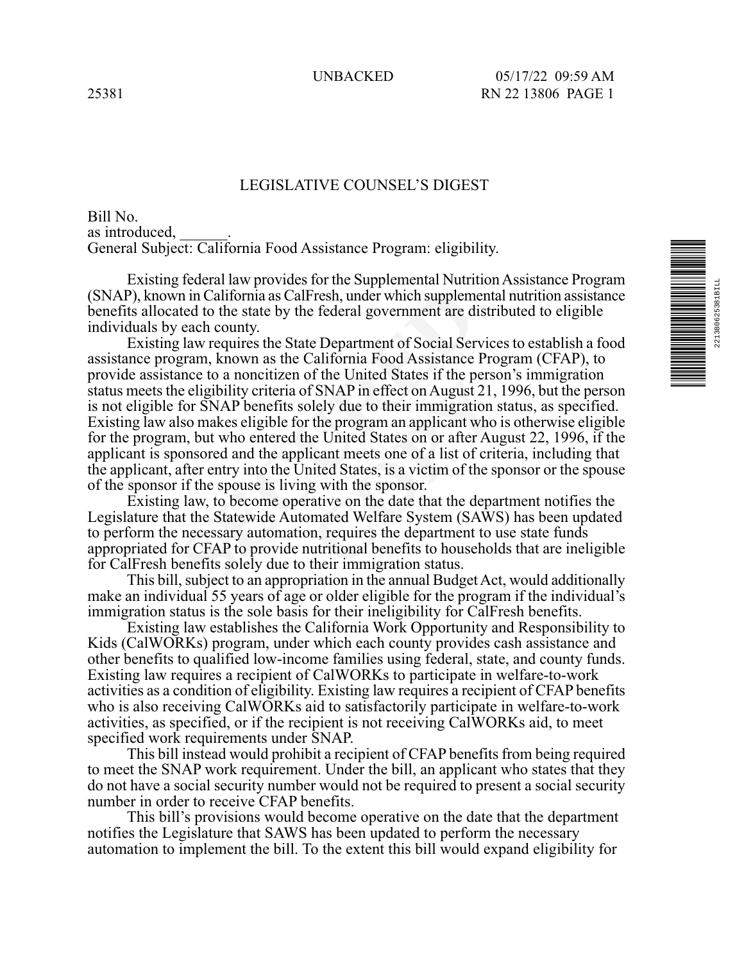## LEGISLATIVE COUNSEL'S DIGEST

Bill No. as introduced, General Subject: California Food Assistance Program: eligibility.

Existing federal law provides for the Supplemental Nutrition Assistance Program (SNAP), known in California as CalFresh, under which supplemental nutrition assistance benefits allocated to the state by the federal government are distributed to eligible individuals by each county.

In in California as CalFresh, under which supplemented to the state by the federal government are diveach county.<br>
I law requires the State Department of Social Ser<br>
gram, known as the California Food Assistance<br>
ance to a of SNAP in effect on August 21,<br>f SNAP in effect on August 21,<br>blely due to their immigration s<br>the program an applicant who<br>ne United States on or after Aug<br>icant meets one of a list of crit<br>ited States, is a victim of th Existing law requires the State Department of Social Services to establish a food assistance program, known as the California Food Assistance Program (CFAP), to provide assistance to a noncitizen of the United States if the person's immigration status meets the eligibility criteria of SNAP in effect on August 21, 1996, but the person is not eligible for SNAP benefits solely due to their immigration status, as specified. Existing law also makes eligible for the program an applicant who is otherwise eligible for the program, but who entered the United States on or after August 22, 1996, if the applicant is sponsored and the applicant meets one of a list of criteria, including that the applicant, after entry into the United States, is a victim of the sponsor or the spouse of the sponsor if the spouse is living with the sponsor.

Existing law, to become operative on the date that the department notifies the Legislature that the Statewide Automated Welfare System (SAWS) has been updated to perform the necessary automation, requires the department to use state funds appropriated for CFAP to provide nutritional benefits to households that are ineligible for CalFresh benefits solely due to their immigration status.

This bill, subject to an appropriation in the annual Budget Act, would additionally make an individual 55 years of age or older eligible for the program if the individual's immigration status is the sole basis for their ineligibility for CalFresh benefits.

Existing law establishes the California Work Opportunity and Responsibility to Kids (CalWORKs) program, under which each county provides cash assistance and other benefits to qualified low-income families using federal, state, and county funds. Existing law requires a recipient of CalWORKs to participate in welfare-to-work activities as a condition of eligibility. Existing law requires a recipient of CFAP benefits who is also receiving CalWORKs aid to satisfactorily participate in welfare-to-work activities, as specified, or if the recipient is not receiving CalWORKs aid, to meet specified work requirements under SNAP.

This bill instead would prohibit a recipient of CFAP benefits from being required to meet the SNAP work requirement. Under the bill, an applicant who states that they do not have a social security number would not be required to present a social security number in order to receive CFAP benefits.

This bill's provisions would become operative on the date that the department notifies the Legislature that SAWS has been updated to perform the necessary automation to implement the bill. To the extent this bill would expand eligibility for